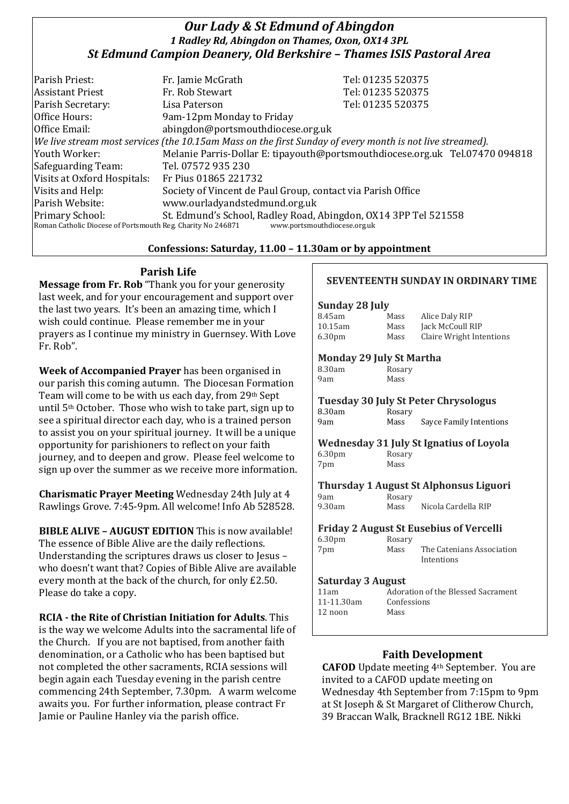# *Our Lady & St Edmund of Abingdon 1 Radley Rd, Abingdon on Thames, Oxon, OX14 3PL St Edmund Campion Deanery, Old Berkshire – Thames ISIS Pastoral Area*

| Parish Priest:                                                                              | Fr. Jamie McGrath                                                                                        | Tel: 01235 520375                                                            |  |
|---------------------------------------------------------------------------------------------|----------------------------------------------------------------------------------------------------------|------------------------------------------------------------------------------|--|
| <b>Assistant Priest</b>                                                                     | Fr. Rob Stewart                                                                                          | Tel: 01235 520375                                                            |  |
| Parish Secretary:                                                                           | Lisa Paterson                                                                                            | Tel: 01235 520375                                                            |  |
| Office Hours:                                                                               | 9am-12pm Monday to Friday                                                                                |                                                                              |  |
| Office Email:                                                                               | abingdon@portsmouthdiocese.org.uk                                                                        |                                                                              |  |
|                                                                                             | We live stream most services (the 10.15am Mass on the first Sunday of every month is not live streamed). |                                                                              |  |
| Youth Worker:                                                                               |                                                                                                          | Melanie Parris-Dollar E: tipayouth@portsmouthdiocese.org.uk Tel.07470 094818 |  |
| Safeguarding Team:                                                                          | Tel. 07572 935 230                                                                                       |                                                                              |  |
| Visits at Oxford Hospitals:                                                                 | Fr Pius 01865 221732                                                                                     |                                                                              |  |
| Visits and Help:                                                                            | Society of Vincent de Paul Group, contact via Parish Office                                              |                                                                              |  |
| Parish Website:                                                                             | www.ourladyandstedmund.org.uk                                                                            |                                                                              |  |
| Primary School:                                                                             | St. Edmund's School, Radley Road, Abingdon, OX14 3PP Tel 521558                                          |                                                                              |  |
| Roman Catholic Diocese of Portsmouth Reg. Charity No 246871<br>www.portsmouthdiocese.org.uk |                                                                                                          |                                                                              |  |

#### **Confessions: Saturday, 11.00 – 11.30am or by appointment**

# **Parish Life**

**Message from Fr. Rob** "Thank you for your generosity last week, and for your encouragement and support over the last two years. It's been an amazing time, which I wish could continue. Please remember me in your prayers as I continue my ministry in Guernsey. With Love Fr. Rob".

**Week of Accompanied Prayer** has been organised in our parish this coming autumn. The Diocesan Formation Team will come to be with us each day, from 29th Sept until 5th October. Those who wish to take part, sign up to see a spiritual director each day, who is a trained person to assist you on your spiritual journey. It will be a unique opportunity for parishioners to reflect on your faith journey, and to deepen and grow. Please feel welcome to sign up over the summer as we receive more information.

**Charismatic Prayer Meeting** Wednesday 24th July at 4 Rawlings Grove. 7:45-9pm. All welcome! Info Ab 528528.

**BIBLE ALIVE – AUGUST EDITION** This is now available! The essence of Bible Alive are the daily reflections. Understanding the scriptures draws us closer to Jesus – who doesn't want that? Copies of Bible Alive are available every month at the back of the church, for only £2.50. Please do take a copy.

**RCIA - the Rite of Christian Initiation for Adults**. This is the way we welcome Adults into the sacramental life of the Church. If you are not baptised, from another faith denomination, or a Catholic who has been baptised but not completed the other sacraments, RCIA sessions will begin again each Tuesday evening in the parish centre commencing 24th September, 7.30pm. A warm welcome awaits you. For further information, please contract Fr Jamie or Pauline Hanley via the parish office.

#### **SEVENTEENTH SUNDAY IN ORDINARY TIME**

#### **Sunday 28 July**

| 8.45am             | Mass | Alice Daly RIP           |
|--------------------|------|--------------------------|
| 10.15am            | Mass | Jack McCoull RIP         |
| 6.30 <sub>pm</sub> | Mass | Claire Wright Intentions |

#### **Monday 29 July St Martha**

8.30am Rosary 9am Mass

| <b>Tuesday 30 July St Peter Chrysologus</b> |        |                         |  |  |
|---------------------------------------------|--------|-------------------------|--|--|
| 8.30am                                      | Rosary |                         |  |  |
| 9am                                         | Mass   | Sayce Family Intentions |  |  |

## **Wednesday 31 July St Ignatius of Loyola** 6.30pm Rosary

7pm Mass

# **Thursday 1 August St Alphonsus Liguori**

9am Rosary<br>9.30am Mass Mass Nicola Cardella RIP

#### **Friday 2 August St Eusebius of Vercelli**

| 6.30 <sub>pm</sub> | Rosary |                           |
|--------------------|--------|---------------------------|
| 7pm                | Mass   | The Catenians Association |
|                    |        | Intentions                |

#### **Saturday 3 August**

| 11am       | Adoration of the Blessed Sacrament |
|------------|------------------------------------|
| 11-11.30am | Confessions                        |
| 12 noon    | Mass                               |
|            |                                    |

## **Faith Development**

**CAFOD** Update meeting 4th September. You are invited to a CAFOD update meeting on Wednesday 4th September from 7:15pm to 9pm at St Joseph & St Margaret of Clitherow Church, 39 Braccan Walk, Bracknell RG12 1BE. Nikki